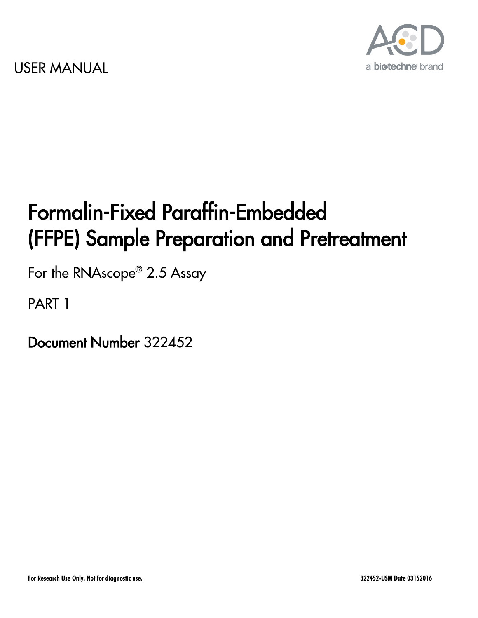

# Formalin-Fixed Paraffin-Embedded (FFPE) Sample Preparation and Pretreatment

For the RNAscope® 2.5 Assay

PART 1

Document Number 322452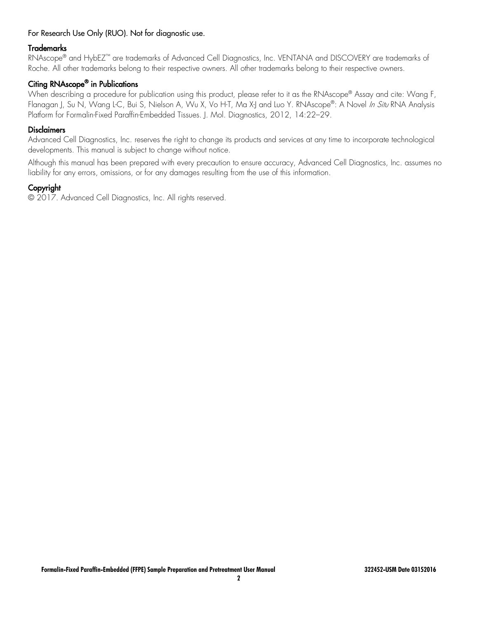#### For Research Use Only (RUO). Not for diagnostic use.

#### Trademarks

RNAscope<sup>®</sup> and HybEZ<sup>™</sup> are trademarks of Advanced Cell Diagnostics, Inc. VENTANA and DISCOVERY are trademarks of Roche. All other trademarks belong to their respective owners. All other trademarks belong to their respective owners.

#### Citing RNAscope® in Publications

When describing a procedure for publication using this product, please refer to it as the RNAscope® Assay and cite: Wang F, Flanagan J, Su N, Wang L-C, Bui S, Nielson A, Wu X, Vo H-T, Ma X-J and Luo Y, RNAscope®: A Novel *In Situ* RNA Analysis Platform for Formalin-Fixed Paraffin-Embedded Tissues. J. Mol. Diagnostics, 2012, 14:22–29.

#### **Disclaimers**

Advanced Cell Diagnostics, Inc. reserves the right to change its products and services at any time to incorporate technological developments. This manual is subject to change without notice.

Although this manual has been prepared with every precaution to ensure accuracy, Advanced Cell Diagnostics, Inc. assumes no liability for any errors, omissions, or for any damages resulting from the use of this information.

#### Copyright

© 2017. Advanced Cell Diagnostics, Inc. All rights reserved.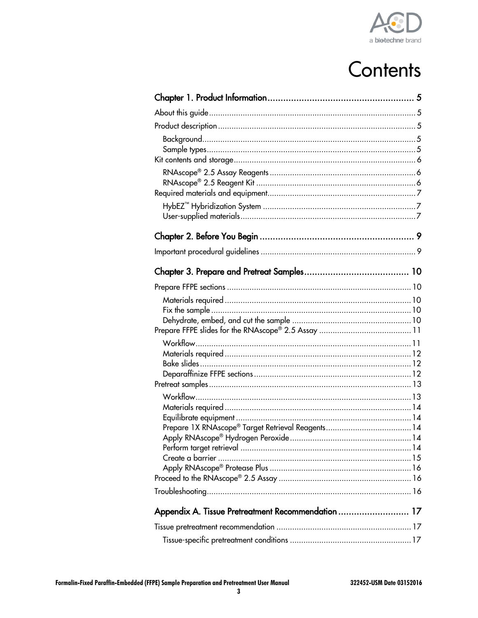

# Contents

|                                                    | 15 |
|----------------------------------------------------|----|
|                                                    |    |
|                                                    |    |
|                                                    |    |
| Appendix A. Tissue Pretreatment Recommendation  17 |    |
|                                                    |    |
|                                                    |    |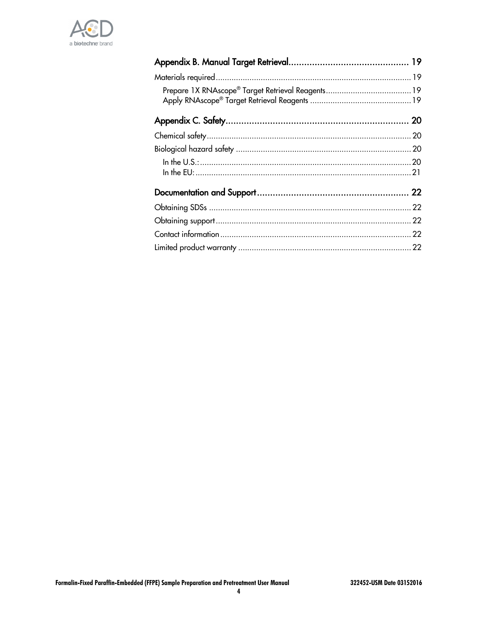

| 22 |
|----|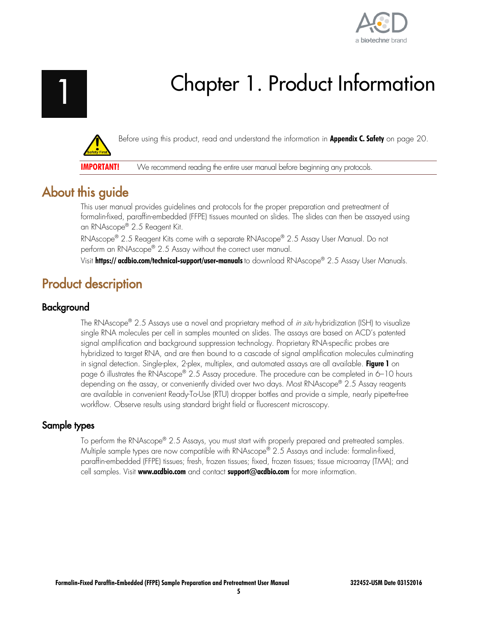

# Chapter 1. Product Information

<span id="page-4-0"></span>

Before using this product, read and understand the information in **Appendix C. Safety** on page [20.](#page-19-0)

**IMPORTANT!** We recommend reading the entire user manual before beginning any protocols.

## <span id="page-4-1"></span>About this guide

This user manual provides guidelines and protocols for the proper preparation and pretreatment of formalin-fixed, paraffin-embedded (FFPE) tissues mounted on slides. The slides can then be assayed using an RNAscope® 2.5 Reagent Kit.

RNAscope® 2.5 Reagent Kits come with a separate RNAscope® 2.5 Assay User Manual. Do not perform an RNAscope® 2.5 Assay without the correct user manual.

Visit **[https:// acdbio.com/technical-support/user-manuals](https://acdbio.com/technical-support/user-manuals)** to download RNAscope® 2.5 Assay User Manuals.

## <span id="page-4-2"></span>Product description

## <span id="page-4-3"></span>Background

The RNAscope® 2.5 Assays use a novel and proprietary method of *in situ* hybridization (ISH) to visualize single RNA molecules per cell in samples mounted on slides. The assays are based on ACD's patented signal amplification and background suppression technology. Proprietary RNA-specific probes are hybridized to target RNA, and are then bound to a cascade of signal amplification molecules culminating in signal detection. Single-plex, 2-plex, multiplex, and automated assays are all available. **Figure 1** on page 6 illustrates the RNAscope® 2.5 Assay procedure. The procedure can be completed in 6–10 hours depending on the assay, or conveniently divided over two days. Most RNAscope® 2.5 Assay reagents are available in convenient Ready-To-Use (RTU) dropper bottles and provide a simple, nearly pipette-free workflow. Observe results using standard bright field or fluorescent microscopy.

## <span id="page-4-4"></span>Sample types

To perform the RNAscope® 2.5 Assays, you must start with properly prepared and pretreated samples. Multiple sample types are now compatible with RNAscope® 2.5 Assays and include: formalin-fixed, paraffin-embedded (FFPE) tissues; fresh, frozen tissues; fixed, frozen tissues; tissue microarray (TMA); and cell samples. Visit **[www.acdbio.com](http://www.acdbio.com/)** and contact **[support@acdbio.com](mailto:techsupport@acdbio.com)** for more information.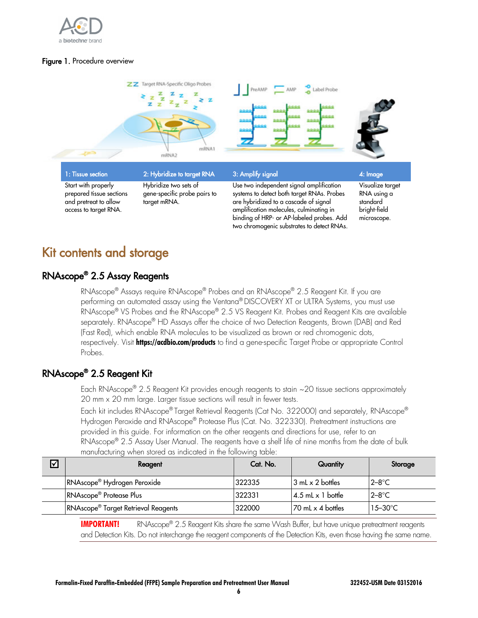

#### Figure 1. Procedure overview



## <span id="page-5-0"></span>Kit contents and storage

## <span id="page-5-1"></span>RNAscope® 2.5 Assay Reagents

RNAscope® Assays require RNAscope® Probes and an RNAscope® 2.5 Reagent Kit. If you are performing an automated assay using the Ventana® DISCOVERY XT or ULTRA Systems, you must use RNAscope® VS Probes and the RNAscope® 2.5 VS Reagent Kit. Probes and Reagent Kits are available separately. RNAscope® HD Assays offer the choice of two Detection Reagents, Brown (DAB) and Red (Fast Red), which enable RNA molecules to be visualized as brown or red chromogenic dots, respectively. Visit **<https://acdbio.com/products>** to find a gene-specific Target Probe or appropriate Control Probes.

## <span id="page-5-2"></span>RNAscope® 2.5 Reagent Kit

Each RNAscope® 2.5 Reagent Kit provides enough reagents to stain ~20 tissue sections approximately 20 mm x 20 mm large. Larger tissue sections will result in fewer tests.

Each kit includes RNAscope® Target Retrieval Reagents (Cat No. 322000) and separately, RNAscope® Hydrogen Peroxide and RNAscope® Protease Plus (Cat. No. 322330). Pretreatment instructions are provided in this guide. For information on the other reagents and directions for use, refer to an RNAscope® 2.5 Assay User Manual. The reagents have a shelf life of nine months from the date of bulk manufacturing when stored as indicated in the following table:

| Υ | Reagent                                         | Cat. No. | Quantity                   | Storage             |
|---|-------------------------------------------------|----------|----------------------------|---------------------|
|   | RNAscope <sup>®</sup> Hydrogen Peroxide         | 322335   | 13 mL x 2 bottles          | $2 - 8^\circ C$     |
|   | RNAscope <sup>®</sup> Protease Plus             | 322331   | $14.5$ mL x 1 bottle       | $2 - 8$ °C          |
|   | RNAscope <sup>®</sup> Target Retrieval Reagents | 322000   | $\sqrt{70}$ mL x 4 bottles | $15 - 30^{\circ}$ C |

**IMPORTANT!** RNAscope® 2.5 Reagent Kits share the same Wash Buffer, but have unique pretreatment reagents and Detection Kits. Do not interchange the reagent components of the Detection Kits, even those having the same name.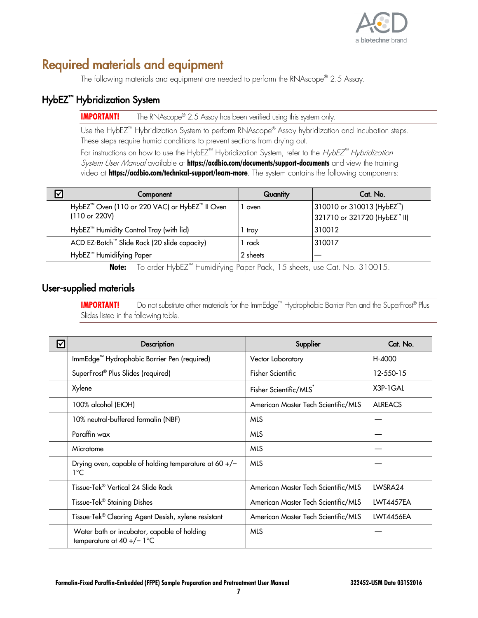

## <span id="page-6-0"></span>Required materials and equipment

The following materials and equipment are needed to perform the RNAscope® 2.5 Assay.

## <span id="page-6-1"></span>HybEZ™ Hybridization System

**IMPORTANT!** The RNAscope® 2.5 Assay has been verified using this system only.

Use the HybEZ™ Hybridization System to perform RNAscope® Assay hybridization and incubation steps. These steps require humid conditions to prevent sections from drying out.

For instructions on how to use the HybEZ<sup>™</sup> Hybridization System, refer to the HybEZ<sup>™</sup> Hybridization System User Manual available at **<https://acdbio.com/documents/support-documents>** and view the training video at **<https://acdbio.com/technical-support/learn-more>**. The system contains the following components:

| ☑ | Component                                                       | Quantity | Cat. No.                                                               |
|---|-----------------------------------------------------------------|----------|------------------------------------------------------------------------|
|   | HybEZ™ Oven (110 or 220 VAC) or HybEZ™ II Oven<br>(110 or 220V) | oven     | 310010 or 310013 (HybEZ <sup>™</sup> )<br>321710 or 321720 (HybEZ™ II) |
|   | HybEZ <sup>™</sup> Humidity Control Tray (with lid)             | tray     | 310012                                                                 |
|   | ACD EZ-Batch™ Slide Rack (20 slide capacity)                    | rack     | 310017                                                                 |
|   | HybEZ <sup>™</sup> Humidifying Paper                            | 2 sheets |                                                                        |

**Note:** To order HybEZ™ Humidifying Paper Pack, 15 sheets, use Cat. No. 310015.

## <span id="page-6-2"></span>User-supplied materials

**IMPORTANT!** Do not substitute other materials for the ImmEdge™ Hydrophobic Barrier Pen and the SuperFrost® Plus Slides listed in the following table.

| ☑ | Description                                                                 | Supplier                            | Cat. No.         |
|---|-----------------------------------------------------------------------------|-------------------------------------|------------------|
|   | ImmEdge <sup>™</sup> Hydrophobic Barrier Pen (required)                     | Vector Laboratory                   | H-4000           |
|   | SuperFrost <sup>®</sup> Plus Slides (required)                              | <b>Fisher Scientific</b>            | 12-550-15        |
|   | Xylene                                                                      | Fisher Scientific/MLS               | X3P-1GAL         |
|   | 100% alcohol (EtOH)                                                         | American Master Tech Scientific/MLS | <b>ALREACS</b>   |
|   | 10% neutral-buffered formalin (NBF)                                         | <b>MLS</b>                          |                  |
|   | Paraffin wax                                                                | <b>MLS</b>                          |                  |
|   | Microtome                                                                   | <b>MLS</b>                          |                  |
|   | Drying oven, capable of holding temperature at 60 $+/-$<br>1°C              | <b>MLS</b>                          |                  |
|   | Tissue-Tek® Vertical 24 Slide Rack                                          | American Master Tech Scientific/MLS | LWSRA24          |
|   | Tissue-Tek <sup>®</sup> Staining Dishes                                     | American Master Tech Scientific/MLS | <b>LWT4457EA</b> |
|   | Tissue-Tek® Clearing Agent Desish, xylene resistant                         | American Master Tech Scientific/MLS | <b>LWT4456EA</b> |
|   | Water bath or incubator, capable of holding<br>temperature at $40 +/- 1$ °C | <b>MLS</b>                          |                  |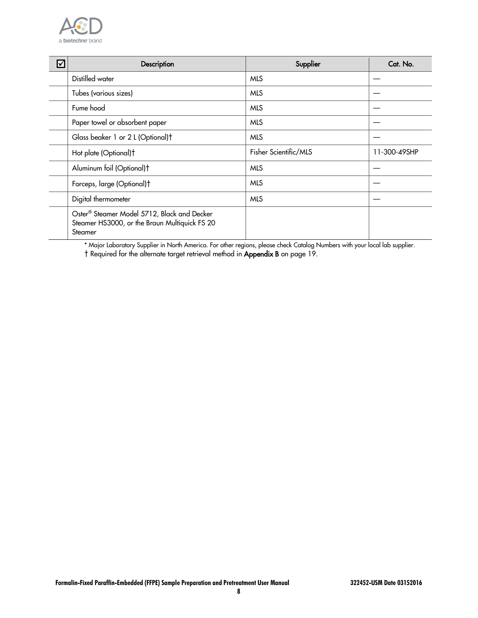

| ☑ | Description                                                                                             | Supplier              | Cat. No.     |
|---|---------------------------------------------------------------------------------------------------------|-----------------------|--------------|
|   | Distilled water                                                                                         | <b>MLS</b>            |              |
|   | Tubes (various sizes)                                                                                   | <b>MLS</b>            |              |
|   | Fume hood                                                                                               | <b>MLS</b>            |              |
|   | Paper towel or absorbent paper                                                                          | <b>MLS</b>            |              |
|   | Glass beaker 1 or 2 L (Optional)t                                                                       | <b>MLS</b>            |              |
|   | Hot plate (Optional)t                                                                                   | Fisher Scientific/MLS | 11-300-49SHP |
|   | Aluminum foil (Optional)t                                                                               | <b>MLS</b>            |              |
|   | Forceps, large (Optional)t                                                                              | <b>MLS</b>            |              |
|   | Digital thermometer                                                                                     | <b>MLS</b>            |              |
|   | Oster® Steamer Model 5712, Black and Decker<br>Steamer HS3000, or the Braun Multiquick FS 20<br>Steamer |                       |              |

\* Major Laboratory Supplier in North America. For other regions, please check Catalog Numbers with your local lab supplier. † Required for the alternate target retrieval method in **Appendix B** on page [19.](#page-18-0)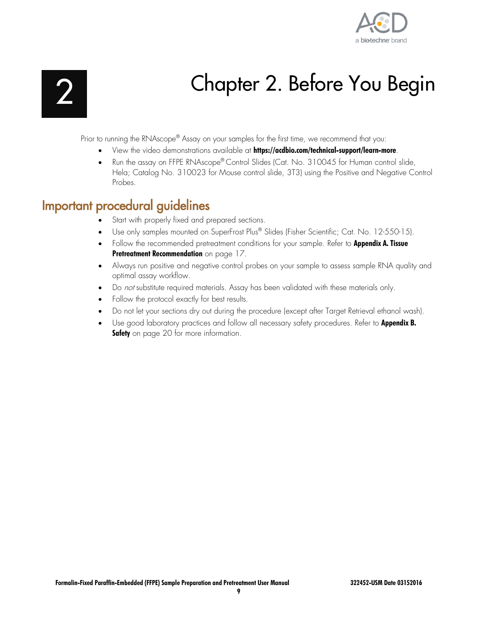

# Chapter 2. Before You Begin

<span id="page-8-0"></span>Prior to running the RNAscope® Assay on your samples for the first time, we recommend that you:

- View the video demonstrations available at **<https://acdbio.com/technical-support/learn-more>**.
- Run the assay on FFPE RNAscope® Control Slides (Cat. No. 310045 for Human control slide, Hela; Catalog No. 310023 for Mouse control slide, 3T3) using the Positive and Negative Control Probes.

## <span id="page-8-1"></span>Important procedural guidelines

- Start with properly fixed and prepared sections.
- Use only samples mounted on SuperFrost Plus® Slides (Fisher Scientific; Cat. No. 12-550-15).
- Follow the recommended pretreatment conditions for your sample. Refer to **Appendix A. Tissue Pretreatment Recommendation** on page [17.](#page-16-0)
- Always run positive and negative control probes on your sample to assess sample RNA quality and optimal assay workflow.
- Do not substitute required materials. Assay has been validated with these materials only.
- Follow the protocol exactly for best results.
- Do not let your sections dry out during the procedure (except after Target Retrieval ethanol wash).
- Use good laboratory practices and follow all necessary safety procedures. Refer to **Appendix B. Safety** on page [20](#page-19-0) for more information.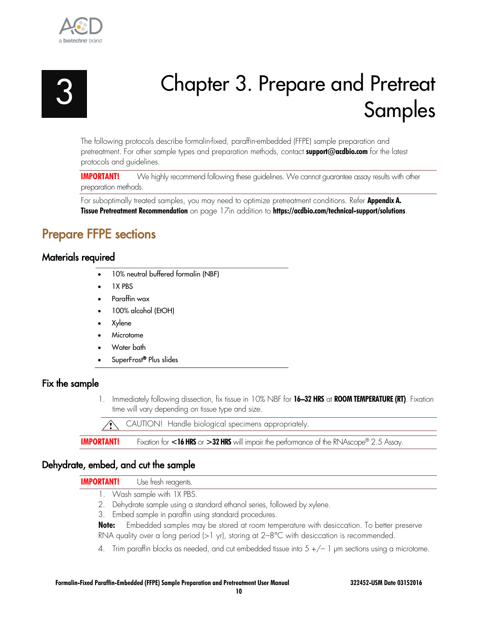

<span id="page-9-0"></span>

# Chapter 3. Prepare and Pretreat Samples

The following protocols describe formalin-fixed, paraffin-embedded (FFPE) sample preparation and pretreatment. For other sample types and preparation methods, contact **[support@acdbio.com](mailto:techsupport@acdbio.com)** for the latest protocols and guidelines.

**IMPORTANT!** We highly recommend following these guidelines. We cannot guarantee assay results with other preparation methods.

For suboptimally treated samples, you may need to optimize pretreatment conditions. Refer **Appendix A. Tissue Pretreatment Recommendation** on page [17in](#page-16-0) addition to **<https://acdbio.com/technical-support/solutions>**.

## <span id="page-9-1"></span>Prepare FFPE sections

## <span id="page-9-2"></span>Materials required

- 10% neutral buffered formalin (NBF)
- 1X PBS
- Paraffin wax
- 100% alcohol (EtOH)
- Xylene
- **Microtome**
- Water bath
- SuperFrost® Plus slides

### <span id="page-9-3"></span>Fix the sample

1. Immediately following dissection, fix tissue in 10% NBF for **16–32 HRS** at **ROOM TEMPERATURE (RT)**. Fixation time will vary depending on tissue type and size.

CAUTION! Handle biological specimens appropriately.

**IMPORTANT!** Fixation for <16 HRS or >32 HRS will impair the performance of the RNAscope® 2.5 Assay.

### <span id="page-9-4"></span>Dehydrate, embed, and cut the sample

#### **IMPORTANT!** Use fresh reagents.

- 1. Wash sample with 1X PBS.
- 2. Dehydrate sample using a standard ethanol series, followed by xylene.
- 3. Embed sample in paraffin using standard procedures.

**Note:** Embedded samples may be stored at room temperature with desiccation. To better preserve RNA quality over a long period (>1 yr), storing at 2–8°C with desiccation is recommended.

4. Trim paraffin blocks as needed, and cut embedded tissue into 5 +/– 1 µm sections using a microtome.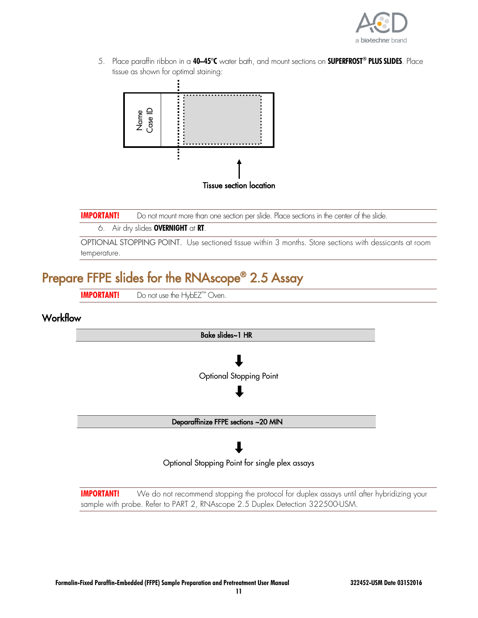

5. Place paraffin ribbon in a **40–45°C** water bath, and mount sections on **SUPERFROST® PLUS SLIDES**. Place tissue as shown for optimal staining:



**IMPORTANT!** Do not mount more than one section per slide. Place sections in the center of the slide.

#### 6. Air dry slides **OVERNIGHT** at **RT**.

OPTIONAL STOPPING POINT. Use sectioned tissue within 3 months. Store sections with dessicants at room temperature.

## <span id="page-10-0"></span>Prepare FFPE slides for the RNAscope® 2.5 Assay

**IMPORTANT!** Do not use the HybEZ™ Oven.

## <span id="page-10-1"></span>**Workflow**



**IMPORTANT!** We do not recommend stopping the protocol for duplex assays until after hybridizing your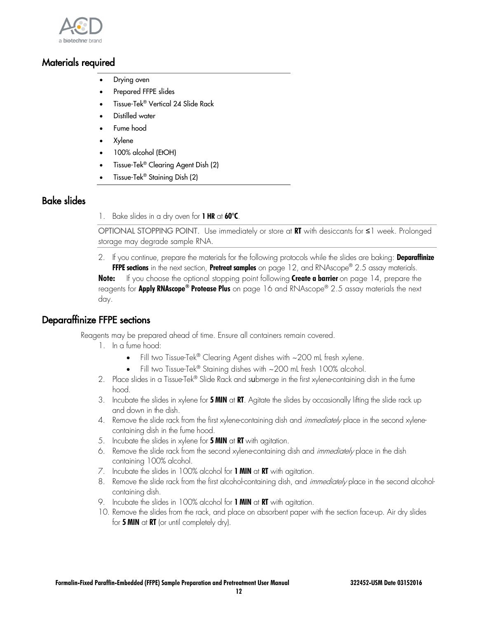

## <span id="page-11-0"></span>Materials required

- Drying oven
- Prepared FFPE slides
- Tissue-Tek® Vertical 24 Slide Rack
- Distilled water
- Fume hood
- Xylene
- 100% alcohol (EtOH)
- Tissue-Tek® Clearing Agent Dish (2)
- Tissue-Tek® Staining Dish (2)

## <span id="page-11-1"></span>Bake slides

1. Bake slides in a dry oven for **1 HR** at **60°C**.

OPTIONAL STOPPING POINT. Use immediately or store at **RT** with desiccants for ≤1 week. Prolonged storage may degrade sample RNA.

2. If you continue, prepare the materials for the following protocols while the slides are baking: **Deparaffinize FFPE sections** in the next section, **Pretreat samples** on page [12,](#page-11-3) and RNAscope® 2.5 assay materials. **Note:** If you choose the optional stopping point following **Create a barrier** on page [14,](#page-13-2) prepare the reagents for **Apply RNAscope® Protease Plus** on page [16](#page-15-0) and RNAscope® 2.5 assay materials the next day.

### <span id="page-11-3"></span><span id="page-11-2"></span>Deparaffinize FFPE sections

Reagents may be prepared ahead of time. Ensure all containers remain covered.

- 1. In a fume hood:
	- Fill two Tissue-Tek<sup>®</sup> Clearing Agent dishes with  $\sim$  200 mL fresh xylene.
	- Fill two Tissue-Tek® Staining dishes with ~200 mL fresh 100% alcohol.
- 2. Place slides in a Tissue-Tek® Slide Rack and submerge in the first xylene-containing dish in the fume hood.
- 3. Incubate the slides in xylene for **5 MIN** at **RT**. Agitate the slides by occasionally lifting the slide rack up and down in the dish.
- 4. Remove the slide rack from the first xylene-containing dish and *immediately* place in the second xylenecontaining dish in the fume hood.
- 5. Incubate the slides in xylene for **5 MIN** at **RT** with agitation.
- 6. Remove the slide rack from the second xylene-containing dish and *immediately* place in the dish containing 100% alcohol.
- 7. Incubate the slides in 100% alcohol for **1 MIN** at **RT** with agitation.
- 8. Remove the slide rack from the first alcohol-containing dish, and *immediately* place in the second alcoholcontaining dish.
- 9. Incubate the slides in 100% alcohol for **1 MIN** at **RT** with agitation.
- 10. Remove the slides from the rack, and place on absorbent paper with the section face-up. Air dry slides for **5 MIN** at **RT** (or until completely dry).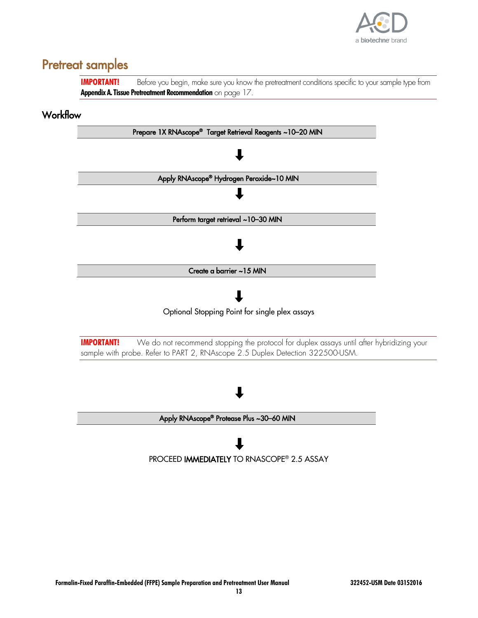

## <span id="page-12-0"></span>Pretreat samples

**IMPORTANT!** Before you begin, make sure you know the pretreatment conditions specific to your sample type from **Appendix A. Tissue Pretreatment Recommendation** on page [17.](#page-16-0)

## <span id="page-12-1"></span>**Workflow**

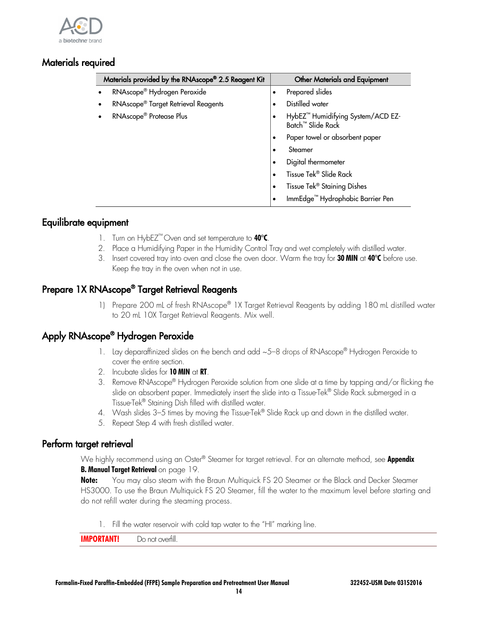

## <span id="page-13-0"></span>Materials required

| Materials provided by the RNAscope® 2.5 Reagent Kit | <b>Other Materials and Equipment</b>                                           |
|-----------------------------------------------------|--------------------------------------------------------------------------------|
| RNAscope <sup>®</sup> Hydrogen Peroxide             | Prepared slides<br>٠                                                           |
| RNAscope <sup>®</sup> Target Retrieval Reagents     | Distilled water                                                                |
| RNAscope <sup>®</sup> Protease Plus                 | HybEZ <sup>™</sup> Humidifying System/ACD EZ-<br>Batch <sup>™</sup> Slide Rack |
|                                                     | Paper towel or absorbent paper<br>$\bullet$                                    |
|                                                     | Steamer<br>$\bullet$                                                           |
|                                                     | Digital thermometer<br>٠                                                       |
|                                                     | Tissue Tek® Slide Rack<br>$\bullet$                                            |
|                                                     | Tissue Tek <sup>®</sup> Staining Dishes<br>$\bullet$                           |
|                                                     | ImmEdge <sup>™</sup> Hydrophobic Barrier Pen<br>٠                              |

## <span id="page-13-1"></span>Equilibrate equipment

- 1. Turn on HybEZ™ Oven and set temperature to **40°C**.
- 2. Place a Humidifying Paper in the Humidity Control Tray and wet completely with distilled water.
- 3. Insert covered tray into oven and close the oven door. Warm the tray for **30 MIN** at **40°C** before use. Keep the tray in the oven when not in use.

## <span id="page-13-2"></span>Prepare 1X RNAscope® Target Retrieval Reagents

1) Prepare 200 mL of fresh RNAscope® 1X Target Retrieval Reagents by adding 180 mL distilled water to 20 mL 10X Target Retrieval Reagents. Mix well.

## <span id="page-13-3"></span>Apply RNAscope® Hydrogen Peroxide

- 1. Lay deparaffinized slides on the bench and add  $\sim$  5–8 drops of RNAscope® Hydrogen Peroxide to cover the entire section.
- 2. Incubate slides for **10 MIN** at **RT**.
- 3. Remove RNAscope® Hydrogen Peroxide solution from one slide at a time by tapping and/or flicking the slide on absorbent paper. Immediately insert the slide into a Tissue-Tek® Slide Rack submerged in a Tissue-Tek® Staining Dish filled with distilled water.
- 4. Wash slides 3–5 times by moving the Tissue-Tek® Slide Rack up and down in the distilled water.
- 5. Repeat Step 4 with fresh distilled water.

## <span id="page-13-4"></span>Perform target retrieval

We highly recommend using an Oster® Steamer for target retrieval. For an alternate method, see **Appendix B. Manual Target Retrieval** on page [19.](#page-18-0)

**Note:** You may also steam with the Braun Multiquick FS 20 Steamer or the Black and Decker Steamer HS3000. To use the Braun Multiquick FS 20 Steamer, fill the water to the maximum level before starting and do not refill water during the steaming process.

1. Fill the water reservoir with cold tap water to the "HI" marking line.

**IMPORTANT!** Do not overfill.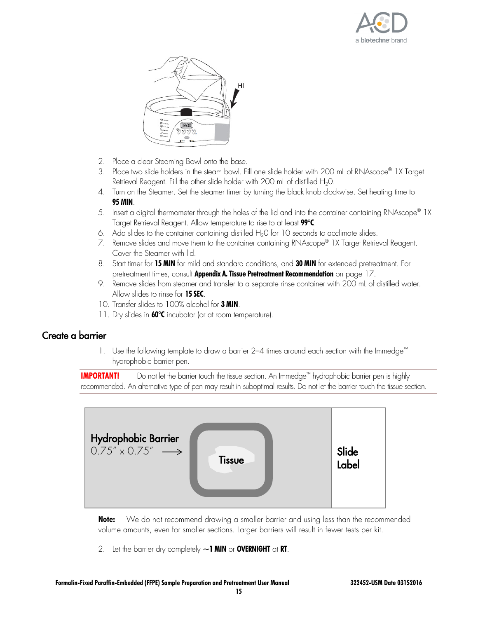



- 2. Place a clear Steaming Bowl onto the base.
- 3. Place two slide holders in the steam bowl. Fill one slide holder with 200 mL of RNAscope® 1X Target Retrieval Reagent. Fill the other slide holder with 200 mL of distilled  $H_2O$ .
- 4. Turn on the Steamer. Set the steamer timer by turning the black knob clockwise. Set heating time to **95 MIN**.
- 5. Insert a digital thermometer through the holes of the lid and into the container containing RNAscope® 1X Target Retrieval Reagent. Allow temperature to rise to at least **99°C**.
- 6. Add slides to the container containing distilled  $H_2O$  for 10 seconds to acclimate slides.
- 7. Remove slides and move them to the container containing RNAscope® 1X Target Retrieval Reagent. Cover the Steamer with lid.
- 8. Start timer for **15 MIN** for mild and standard conditions, and **30 MIN** for extended pretreatment. For pretreatment times, consult **Appendix A. Tissue Pretreatment Recommendation** on page [17.](#page-16-0)
- 9. Remove slides from steamer and transfer to a separate rinse container with 200 mL of distilled water. Allow slides to rinse for **15 SEC**.
- 10. Transfer slides to 100% alcohol for **3 MIN**.
- 11. Dry slides in **60°C** incubator (or at room temperature).

### <span id="page-14-0"></span>Create a barrier

1. Use the following template to draw a barrier 2–4 times around each section with the Immedge™ hydrophobic barrier pen.

**IMPORTANT!** Do not let the barrier touch the tissue section. An Immedge™ hydrophobic barrier pen is highly recommended. An alternative type of pen may result in suboptimal results. Do not let the barrier touch the tissue section.



**Note:** We do not recommend drawing a smaller barrier and using less than the recommended volume amounts, even for smaller sections. Larger barriers will result in fewer tests per kit.

2. Let the barrier dry completely **~1 MIN** or **OVERNIGHT** at **RT**.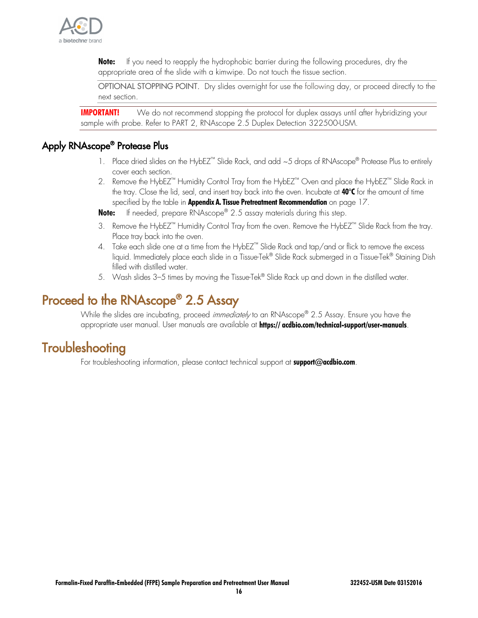

**Note:** If you need to reapply the hydrophobic barrier during the following procedures, dry the appropriate area of the slide with a kimwipe. Do not touch the tissue section.

OPTIONAL STOPPING POINT. Dry slides overnight for use the following day, or proceed directly to the next section.

**IMPORTANT!** We do not recommend stopping the protocol for duplex assays until after hybridizing your sample with probe. Refer to PART 2, RNAscope 2.5 Duplex Detection 322500-USM.

## <span id="page-15-0"></span>Apply RNAscope® Protease Plus

- 1. Place dried slides on the HybEZ<sup>™</sup> Slide Rack, and add ~5 drops of RNAscope® Protease Plus to entirely cover each section.
- 2. Remove the HybEZ™ Humidity Control Tray from the HybEZ™ Oven and place the HybEZ™ Slide Rack in the tray. Close the lid, seal, and insert tray back into the oven. Incubate at **40°C** for the amount of time specified by the table in **Appendix A. Tissue Pretreatment Recommendation** on page [17.](#page-16-0)

**Note:** If needed, prepare RNAscope® 2.5 assay materials during this step.

- 3. Remove the HybEZ™ Humidity Control Tray from the oven. Remove the HybEZ™ Slide Rack from the tray. Place tray back into the oven.
- 4. Take each slide one at a time from the HybEZ™ Slide Rack and tap/and or flick to remove the excess liquid. Immediately place each slide in a Tissue-Tek® Slide Rack submerged in a Tissue-Tek® Staining Dish filled with distilled water.
- 5. Wash slides 3–5 times by moving the Tissue-Tek® Slide Rack up and down in the distilled water.

## <span id="page-15-1"></span>Proceed to the RNAscope® 2.5 Assay

While the slides are incubating, proceed *immediately* to an RNAscope® 2.5 Assay. Ensure you have the appropriate user manual. User manuals are available at **[https:// acdbio.com/technical-support/user-manuals](https://acdbio.com/technical-support/user-manuals)**.

## <span id="page-15-2"></span>**Troubleshooting**

For troubleshooting information, please contact technical support at **[support@acdbio.com](mailto:support@acdbio.com)**.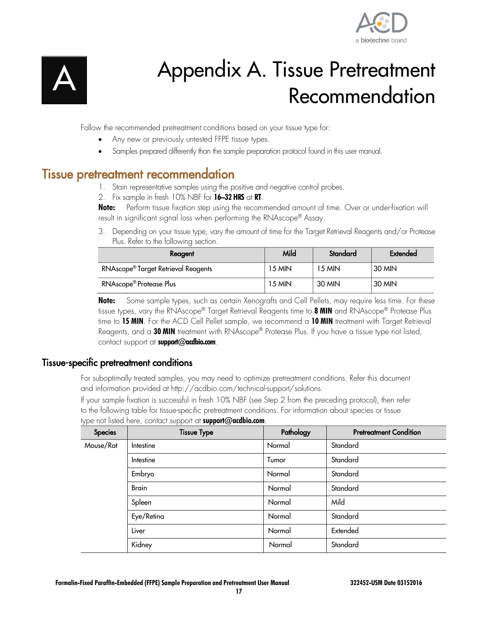

<span id="page-16-0"></span>

# Appendix A. Tissue Pretreatment Recommendation

Follow the recommended pretreatment conditions based on your tissue type for:

- Any new or previously untested FFPE tissue types.
- Samples prepared differently than the sample preparation protocol found in this user manual.

## <span id="page-16-1"></span>Tissue pretreatment recommendation

- 1. Stain representative samples using the positive and negative control probes.
- 2. Fix sample in fresh 10% NBF for **16–32 HRS** at **RT**.

**Note:** Perform tissue fixation step using the recommended amount of time. Over or under-fixation will result in significant signal loss when performing the RNAscope® Assay.

3. Depending on your tissue type, vary the amount of time for the Target Retrieval Reagents and/or Protease Plus. Refer to the following section.

| Reagent                             | Mild   | Standard | Extended |
|-------------------------------------|--------|----------|----------|
| RNAscope®Target Retrieval Reagents  | 15 MIN | 15 MIN   | 30 MIN   |
| RNAscope <sup>®</sup> Protease Plus | 15 MIN | 30 MIN   | 30 MIN   |

**Note:** Some sample types, such as certain Xenografts and Cell Pellets, may require less time. For these tissue types, vary the RNAscope® Target Retrieval Reagents time to **8 MIN** and RNAscope® Protease Plus time to **15 MIN**. For the ACD Cell Pellet sample, we recommend a **10 MIN** treatment with Target Retrieval Reagents, and a **30 MIN** treatment with RNAscope® Protease Plus. If you have a tissue type not listed, contact support at **[support@acdbio.com](mailto:support@acdbio.com)**.

### <span id="page-16-2"></span>Tissue-specific pretreatment conditions

For suboptimally treated samples, you may need to optimize pretreatment conditions. Refer this document and information provided at http://acdbio.com/technical-support/solutions.

If your sample fixation is successful in fresh 10% NBF (see Step 2 from the preceding protocol), then refer to the following table for tissue-specific pretreatment conditions. For information about species or tissue type not listed here, contact support at **[support@acdbio.com](mailto:support@acdbio.com)**.

| <b>Species</b> | <b>Tissue Type</b> | Pathology | <b>Pretreatment Condition</b> |
|----------------|--------------------|-----------|-------------------------------|
| Mouse/Rat      | Intestine          | Normal    | Standard                      |
|                | Intestine          | Tumor     | Standard                      |
|                | Embryo             | Normal    | Standard                      |
|                | <b>Brain</b>       | Normal    | Standard                      |
|                | Spleen             | Normal    | Mild                          |
|                | Eye/Retina         | Normal    | Standard                      |
|                | Liver              | Normal    | Extended                      |
|                | Kidney             | Normal    | Standard                      |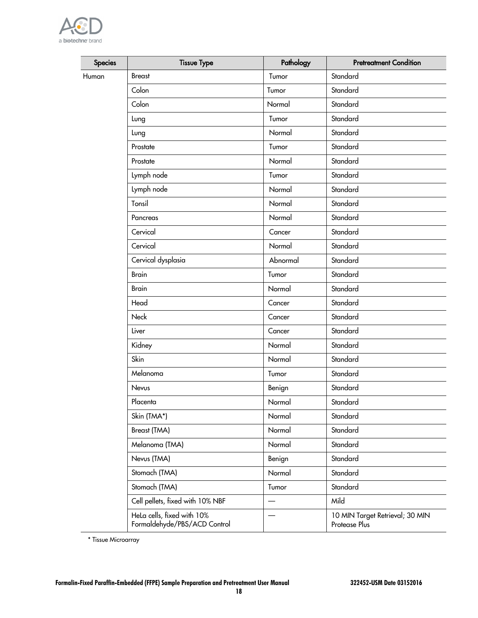

| <b>Species</b> | <b>Tissue Type</b>                                         | Pathology | <b>Pretreatment Condition</b>                    |
|----------------|------------------------------------------------------------|-----------|--------------------------------------------------|
| Human          | <b>Breast</b>                                              | Tumor     | Standard                                         |
|                | Colon                                                      | Tumor     | Standard                                         |
|                | Colon                                                      | Normal    | Standard                                         |
|                | Lung                                                       | Tumor     | Standard                                         |
|                | Lung                                                       | Normal    | Standard                                         |
|                | Prostate                                                   | Tumor     | Standard                                         |
|                | Prostate                                                   | Normal    | Standard                                         |
|                | Lymph node                                                 | Tumor     | Standard                                         |
|                | Lymph node                                                 | Normal    | Standard                                         |
|                | Tonsil                                                     | Normal    | Standard                                         |
|                | Pancreas                                                   | Normal    | Standard                                         |
|                | Cervical                                                   | Cancer    | Standard                                         |
|                | Cervical                                                   | Normal    | Standard                                         |
|                | Cervical dysplasia                                         | Abnormal  | Standard                                         |
|                | <b>Brain</b>                                               | Tumor     | Standard                                         |
|                | <b>Brain</b>                                               | Normal    | Standard                                         |
|                | Head                                                       | Cancer    | Standard                                         |
|                | Neck                                                       | Cancer    | Standard                                         |
|                | Liver                                                      | Cancer    | Standard                                         |
|                | Kidney                                                     | Normal    | Standard                                         |
|                | Skin                                                       | Normal    | Standard                                         |
|                | Melanoma                                                   | Tumor     | Standard                                         |
|                | Nevus                                                      | Benign    | Standard                                         |
|                | Placenta                                                   | Normal    | Standard                                         |
|                | Skin (TMA*)                                                | Normal    | Standard                                         |
|                | Breast (TMA)                                               | Normal    | Standard                                         |
|                | Melanoma (TMA)                                             | Normal    | Standard                                         |
|                | Nevus (TMA)                                                | Benign    | Standard                                         |
|                | Stomach (TMA)                                              | Normal    | Standard                                         |
|                | Stomach (TMA)                                              | Tumor     | Standard                                         |
|                | Cell pellets, fixed with 10% NBF                           |           | Mild                                             |
|                | Hela cells, fixed with 10%<br>Formaldehyde/PBS/ACD Control |           | 10 MIN Target Retrieval; 30 MIN<br>Protease Plus |

\* Tissue Microarray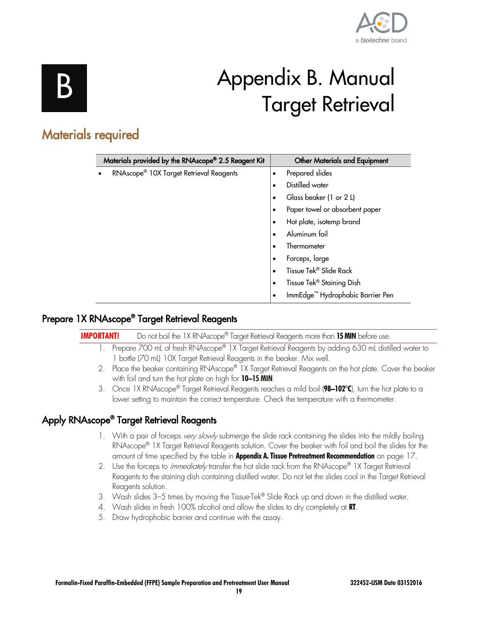

# Appendix B. Manual Target Retrieval

## <span id="page-18-1"></span><span id="page-18-0"></span>Materials required

| Materials provided by the RNAscope® 2.5 Reagent Kit | <b>Other Materials and Equipment</b>               |
|-----------------------------------------------------|----------------------------------------------------|
| RNAscope <sup>®</sup> 10X Target Retrieval Reagents | Prepared slides<br>٠                               |
|                                                     | Distilled water<br>٠                               |
|                                                     | Glass beaker (1 or 2 L)<br>$\bullet$               |
|                                                     | Paper towel or absorbent paper<br>$\bullet$        |
|                                                     | Hot plate, isotemp brand<br>٠                      |
|                                                     | Aluminum foil<br>$\bullet$                         |
|                                                     | Thermometer<br>٠                                   |
|                                                     | Forceps, large<br>$\bullet$                        |
|                                                     | Tissue Tek® Slide Rack<br>$\bullet$                |
|                                                     | Tissue Tek <sup>®</sup> Staining Dish<br>$\bullet$ |
|                                                     | ImmEdge <sup>™</sup> Hydrophobic Barrier Pen       |

## <span id="page-18-2"></span>Prepare 1X RNAscope® Target Retrieval Reagents

| <b>IMPORTANT!</b> | Do not boil the 1X RNAscope® Target Retrieval Reagents more than 15 MIN before use.                                                                                                                                                                                          |
|-------------------|------------------------------------------------------------------------------------------------------------------------------------------------------------------------------------------------------------------------------------------------------------------------------|
|                   | Prepare 700 mL of fresh RNAscope® 1X Target Retrieval Reagents by adding 630 mL distilled water to<br>1 bottle (70 mL) 10X Target Retrieval Reagents in the beaker. Mix well.                                                                                                |
|                   | 2. Place the beaker containing RNAscope® 1X Target Retrieval Reagents on the hot plate. Cover the beaker                                                                                                                                                                     |
|                   | with foil and turn the hot plate on high for 10-15 MIN.<br>3. Once 1X RNAscope® Target Retrieval Reagents reaches a mild boil ( $98-102^{\circ}C$ ), turn the hot plate to a<br>lower setting to maintain the correct temperature. Check the temperature with a thermometer. |
|                   |                                                                                                                                                                                                                                                                              |
|                   | Apply RNAscope <sup>®</sup> Target Retrieval Reagents                                                                                                                                                                                                                        |
|                   | وممتلئم والملتمس وعلارمه وتمامئا وروحانه وتمتسقهم بامروس وامئام وملاح وموم ومساريون فأربطون ومستحسب والمستقيم والتزارف الملاحي                                                                                                                                               |

- <span id="page-18-3"></span>1. With a pair of forceps *very slowly* submerge the slide rack containing the slides into the mildly boiling RNAscope® 1X Target Retrieval Reagents solution. Cover the beaker with foil and boil the slides for the amount of time specified by the table in **Appendix A. Tissue Pretreatment Recommendation** on page [17.](#page-16-0)
- 2. Use the forceps to *immediately* transfer the hot slide rack from the RNAscope® 1X Target Retrieval Reagents to the staining dish containing distilled water. Do not let the slides cool in the Target Retrieval Reagents solution.
- 3. Wash slides 3–5 times by moving the Tissue-Tek® Slide Rack up and down in the distilled water.
- 4. Wash slides in fresh 100% alcohol and allow the slides to dry completely at **RT**.
- 5. Draw hydrophobic barrier and continue with the assay.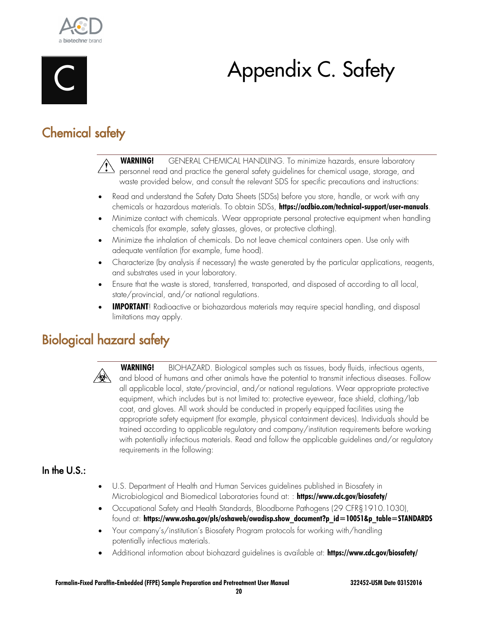

<span id="page-19-0"></span>

# Appendix C. Safety

## <span id="page-19-1"></span>Chemical safety

 **WARNING!** GENERAL CHEMICAL HANDLING. To minimize hazards, ensure laboratory  $\Delta$  personnel read and practice the general safety guidelines for chemical usage, storage, and waste provided below, and consult the relevant SDS for specific precautions and instructions:

- Read and understand the Safety Data Sheets (SDSs) before you store, handle, or work with any chemicals or hazardous materials. To obtain SDSs, **<https://acdbio.com/technical-support/user-manuals>**.
- Minimize contact with chemicals. Wear appropriate personal protective equipment when handling chemicals (for example, safety glasses, gloves, or protective clothing).
- Minimize the inhalation of chemicals. Do not leave chemical containers open. Use only with adequate ventilation (for example, fume hood).
- Characterize (by analysis if necessary) the waste generated by the particular applications, reagents, and substrates used in your laboratory.
- Ensure that the waste is stored, transferred, transported, and disposed of according to all local, state/provincial, and/or national regulations.
- **IMPORTANT**! Radioactive or biohazardous materials may require special handling, and disposal limitations may apply.

## <span id="page-19-2"></span>Biological hazard safety



 **WARNING!** BIOHAZARD. Biological samples such as tissues, body fluids, infectious agents, and blood of humans and other animals have the potential to transmit infectious diseases. Follow all applicable local, state/provincial, and/or national regulations. Wear appropriate protective equipment, which includes but is not limited to: protective eyewear, face shield, clothing/lab coat, and gloves. All work should be conducted in properly equipped facilities using the appropriate safety equipment (for example, physical containment devices). Individuals should be trained according to applicable regulatory and company/institution requirements before working with potentially infectious materials. Read and follow the applicable guidelines and/or regulatory requirements in the following:

## <span id="page-19-3"></span>In the U.S.:

- U.S. Department of Health and Human Services guidelines published in Biosafety in Microbiological and Biomedical Laboratories found at: : **<https://www.cdc.gov/biosafety/>**
- Occupational Safety and Health Standards, Bloodborne Pathogens (29 CFR§1910.1030), found at: **[https://www.osha.gov/pls/oshaweb/owadisp.show\\_document?p\\_id=10051&p\\_table=STANDARDS](https://www.osha.gov/pls/oshaweb/owadisp.show_document?p_id=10051&p_table=STANDARDS)**
- Your company's/institution's Biosafety Program protocols for working with/handling potentially infectious materials.
- Additional information about biohazard guidelines is available at: **<https://www.cdc.gov/biosafety/>**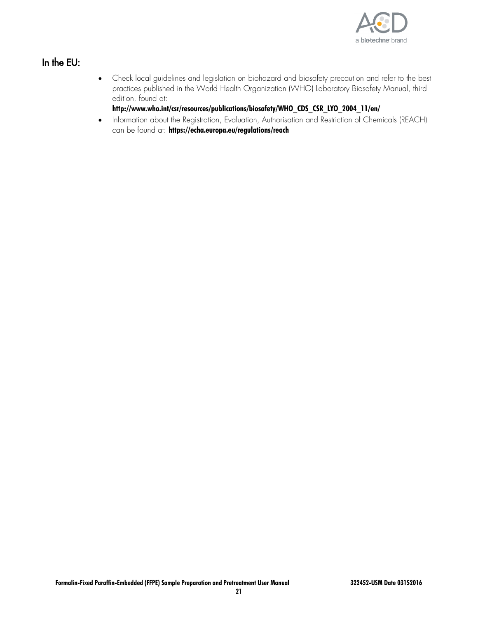

## <span id="page-20-0"></span>In the EU:

• Check local guidelines and legislation on biohazard and biosafety precaution and refer to the best practices published in the World Health Organization (WHO) Laboratory Biosafety Manual, third edition, found at:

### **[http://www.who.int/csr/resources/publications/biosafety/WHO\\_CDS\\_CSR\\_LYO\\_2004\\_11/en/](http://www.who.int/csr/resources/publications/biosafety/WHO_CDS_CSR_LYO_2004_11/en/)**

• Information about the Registration, Evaluation, Authorisation and Restriction of Chemicals (REACH) can be found at: **<https://echa.europa.eu/regulations/reach>**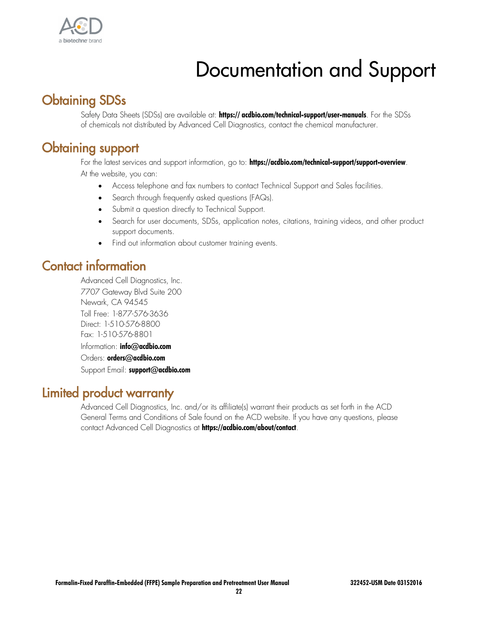

# Documentation and Support

## <span id="page-21-1"></span><span id="page-21-0"></span>Obtaining SDSs

Safety Data Sheets (SDSs) are available at: **[https:// acdbio.com/technical-support/user-manuals](https://acdbio.com/technical-support/user-manuals)**. For the SDSs of chemicals not distributed by Advanced Cell Diagnostics, contact the chemical manufacturer.

## <span id="page-21-2"></span>Obtaining support

For the latest services and support information, go to: **<https://acdbio.com/technical-support/support-overview>**. At the website, you can:

- Access telephone and fax numbers to contact Technical Support and Sales facilities.
- Search through frequently asked questions (FAQs).
- Submit a question directly to Technical Support.
- Search for user documents, SDSs, application notes, citations, training videos, and other product support documents.
- Find out information about customer training events.

## <span id="page-21-3"></span>Contact information

Advanced Cell Diagnostics, Inc. 7707 Gateway Blvd Suite 200 Newark, CA 94545 Toll Free: 1-877-576-3636 Direct: 1-510-576-8800 Fax: 1-510-576-8801 Information: **[info@acdbio.com](mailto:info@acdbio.com)**

Orders: **[orders@acdbio.com](mailto:orders@acdbio.com)**

Support Email: **[support@acdbio.com](mailto:support@acdbio.com)**

## <span id="page-21-4"></span>Limited product warranty

Advanced Cell Diagnostics, Inc. and/or its affiliate(s) warrant their products as set forth in the ACD General Terms and Conditions of Sale found on the ACD website. If you have any questions, please contact Advanced Cell Diagnostics at **<https://acdbio.com/about/contact>**.